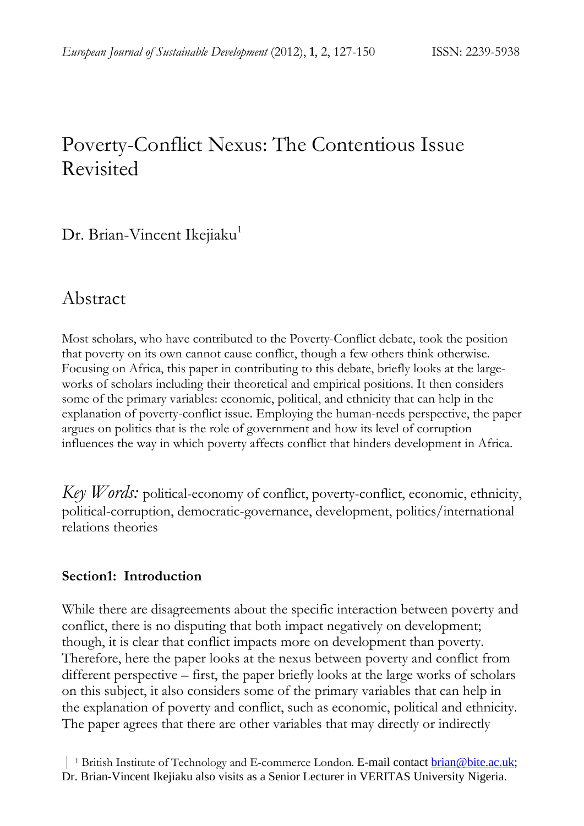# Poverty-Conflict Nexus: The Contentious Issue Revisited

## Dr. Brian-Vincent Ikejiaku<sup>1</sup>

# Abstract

Most scholars, who have contributed to the Poverty-Conflict debate, took the position that poverty on its own cannot cause conflict, though a few others think otherwise. Focusing on Africa, this paper in contributing to this debate, briefly looks at the largeworks of scholars including their theoretical and empirical positions. It then considers some of the primary variables: economic, political, and ethnicity that can help in the explanation of poverty-conflict issue. Employing the human-needs perspective, the paper argues on politics that is the role of government and how its level of corruption influences the way in which poverty affects conflict that hinders development in Africa.

*Key Words:* political-economy of conflict, poverty-conflict, economic, ethnicity, political-corruption, democratic-governance, development, politics/international relations theories

#### **Section1: Introduction**

While there are disagreements about the specific interaction between poverty and conflict, there is no disputing that both impact negatively on development; though, it is clear that conflict impacts more on development than poverty. Therefore, here the paper looks at the nexus between poverty and conflict from different perspective – first, the paper briefly looks at the large works of scholars on this subject, it also considers some of the primary variables that can help in the explanation of poverty and conflict, such as economic, political and ethnicity. The paper agrees that there are other variables that may directly or indirectly

| <sup>1</sup> British Institute of Technology and E-commerce London. E-mail contact  $\frac{\text{brain@bite.ac.uk}}{\text{brain@bite.ac.uk}}$ ; Dr. Brian-Vincent Ikejiaku also visits as a Senior Lecturer in VERITAS University Nigeria.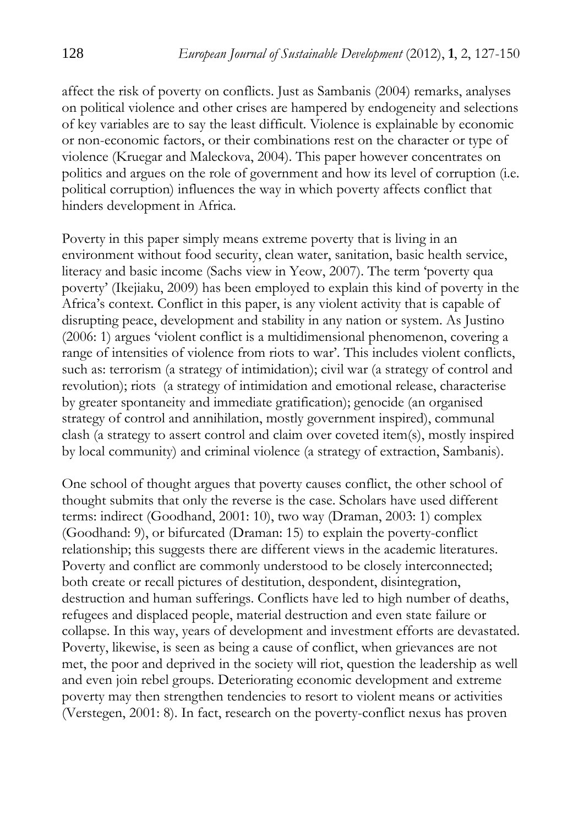affect the risk of poverty on conflicts. Just as Sambanis (2004) remarks, analyses on political violence and other crises are hampered by endogeneity and selections of key variables are to say the least difficult. Violence is explainable by economic or non-economic factors, or their combinations rest on the character or type of violence (Kruegar and Maleckova, 2004). This paper however concentrates on politics and argues on the role of government and how its level of corruption (i.e. political corruption) influences the way in which poverty affects conflict that hinders development in Africa.

Poverty in this paper simply means extreme poverty that is living in an environment without food security, clean water, sanitation, basic health service, literacy and basic income (Sachs view in Yeow, 2007). The term 'poverty qua poverty' (Ikejiaku, 2009) has been employed to explain this kind of poverty in the Africa's context. Conflict in this paper, is any violent activity that is capable of disrupting peace, development and stability in any nation or system. As Justino (2006: 1) argues 'violent conflict is a multidimensional phenomenon, covering a range of intensities of violence from riots to war'. This includes violent conflicts, such as: terrorism (a strategy of intimidation); civil war (a strategy of control and revolution); riots (a strategy of intimidation and emotional release, characterise by greater spontaneity and immediate gratification); genocide (an organised strategy of control and annihilation, mostly government inspired), communal clash (a strategy to assert control and claim over coveted item(s), mostly inspired by local community) and criminal violence (a strategy of extraction, Sambanis).

One school of thought argues that poverty causes conflict, the other school of thought submits that only the reverse is the case. Scholars have used different terms: indirect (Goodhand, 2001: 10), two way (Draman, 2003: 1) complex (Goodhand: 9), or bifurcated (Draman: 15) to explain the poverty-conflict relationship; this suggests there are different views in the academic literatures. Poverty and conflict are commonly understood to be closely interconnected; both create or recall pictures of destitution, despondent, disintegration, destruction and human sufferings. Conflicts have led to high number of deaths, refugees and displaced people, material destruction and even state failure or collapse. In this way, years of development and investment efforts are devastated. Poverty, likewise, is seen as being a cause of conflict, when grievances are not met, the poor and deprived in the society will riot, question the leadership as well and even join rebel groups. Deteriorating economic development and extreme poverty may then strengthen tendencies to resort to violent means or activities (Verstegen, 2001: 8). In fact, research on the poverty-conflict nexus has proven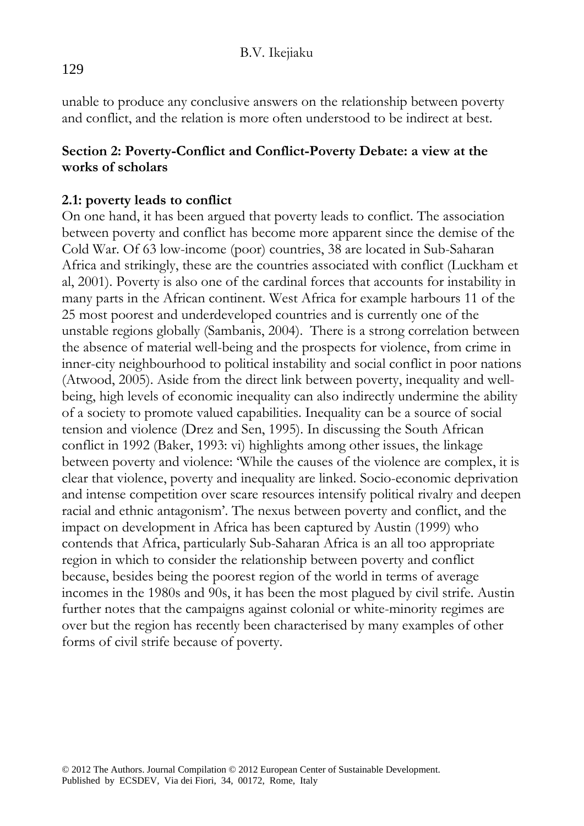unable to produce any conclusive answers on the relationship between poverty and conflict, and the relation is more often understood to be indirect at best.

#### **Section 2: Poverty-Conflict and Conflict-Poverty Debate: a view at the works of scholars**

#### **2.1: poverty leads to conflict**

On one hand, it has been argued that poverty leads to conflict. The association between poverty and conflict has become more apparent since the demise of the Cold War. Of 63 low-income (poor) countries, 38 are located in Sub-Saharan Africa and strikingly, these are the countries associated with conflict (Luckham et al, 2001). Poverty is also one of the cardinal forces that accounts for instability in many parts in the African continent. West Africa for example harbours 11 of the 25 most poorest and underdeveloped countries and is currently one of the unstable regions globally (Sambanis, 2004). There is a strong correlation between the absence of material well-being and the prospects for violence, from crime in inner-city neighbourhood to political instability and social conflict in poor nations (Atwood, 2005). Aside from the direct link between poverty, inequality and wellbeing, high levels of economic inequality can also indirectly undermine the ability of a society to promote valued capabilities. Inequality can be a source of social tension and violence (Drez and Sen, 1995). In discussing the South African conflict in 1992 (Baker, 1993: vi) highlights among other issues, the linkage between poverty and violence: 'While the causes of the violence are complex, it is clear that violence, poverty and inequality are linked. Socio-economic deprivation and intense competition over scare resources intensify political rivalry and deepen racial and ethnic antagonism'. The nexus between poverty and conflict, and the impact on development in Africa has been captured by Austin (1999) who contends that Africa, particularly Sub-Saharan Africa is an all too appropriate region in which to consider the relationship between poverty and conflict because, besides being the poorest region of the world in terms of average incomes in the 1980s and 90s, it has been the most plagued by civil strife. Austin further notes that the campaigns against colonial or white-minority regimes are over but the region has recently been characterised by many examples of other forms of civil strife because of poverty.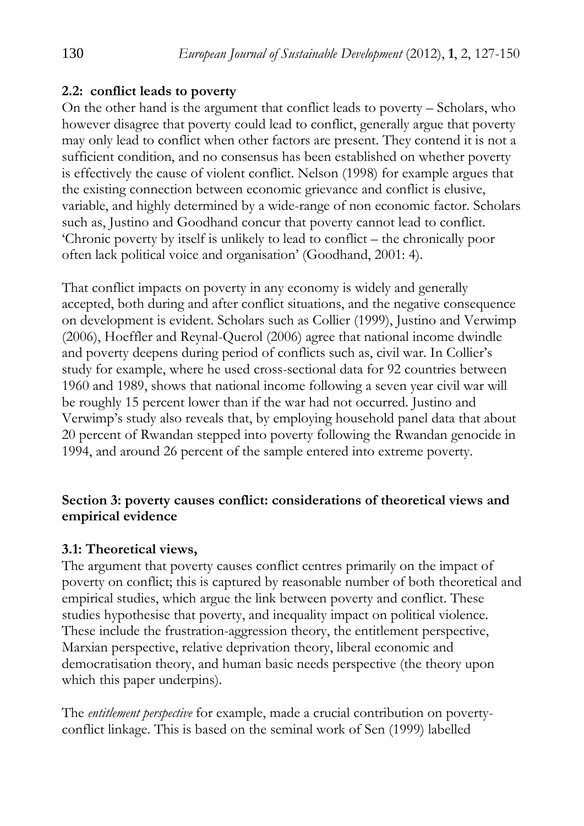#### **2.2: conflict leads to poverty**

On the other hand is the argument that conflict leads to poverty – Scholars, who however disagree that poverty could lead to conflict, generally argue that poverty may only lead to conflict when other factors are present. They contend it is not a sufficient condition, and no consensus has been established on whether poverty is effectively the cause of violent conflict. Nelson (1998) for example argues that the existing connection between economic grievance and conflict is elusive, variable, and highly determined by a wide-range of non economic factor. Scholars such as, Justino and Goodhand concur that poverty cannot lead to conflict. 'Chronic poverty by itself is unlikely to lead to conflict – the chronically poor often lack political voice and organisation' (Goodhand, 2001: 4).

That conflict impacts on poverty in any economy is widely and generally accepted, both during and after conflict situations, and the negative consequence on development is evident. Scholars such as Collier (1999), Justino and Verwimp (2006), Hoeffler and Reynal-Querol (2006) agree that national income dwindle and poverty deepens during period of conflicts such as, civil war. In Collier's study for example, where he used cross-sectional data for 92 countries between 1960 and 1989, shows that national income following a seven year civil war will be roughly 15 percent lower than if the war had not occurred. Justino and Verwimp's study also reveals that, by employing household panel data that about 20 percent of Rwandan stepped into poverty following the Rwandan genocide in 1994, and around 26 percent of the sample entered into extreme poverty.

#### **Section 3: poverty causes conflict: considerations of theoretical views and empirical evidence**

#### **3.1: Theoretical views,**

The argument that poverty causes conflict centres primarily on the impact of poverty on conflict; this is captured by reasonable number of both theoretical and empirical studies, which argue the link between poverty and conflict. These studies hypothesise that poverty, and inequality impact on political violence. These include the frustration-aggression theory, the entitlement perspective, Marxian perspective, relative deprivation theory, liberal economic and democratisation theory, and human basic needs perspective (the theory upon which this paper underpins).

The *entitlement perspective* for example, made a crucial contribution on povertyconflict linkage. This is based on the seminal work of Sen (1999) labelled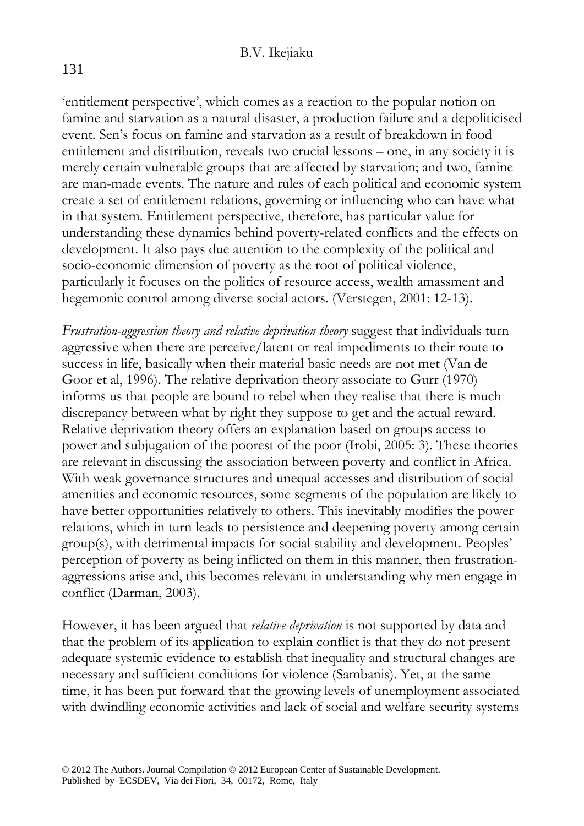#### B.V. Ikejiaku

'entitlement perspective', which comes as a reaction to the popular notion on famine and starvation as a natural disaster, a production failure and a depoliticised event. Sen's focus on famine and starvation as a result of breakdown in food entitlement and distribution, reveals two crucial lessons – one, in any society it is merely certain vulnerable groups that are affected by starvation; and two, famine are man-made events. The nature and rules of each political and economic system create a set of entitlement relations, governing or influencing who can have what in that system. Entitlement perspective, therefore, has particular value for understanding these dynamics behind poverty-related conflicts and the effects on development. It also pays due attention to the complexity of the political and socio-economic dimension of poverty as the root of political violence, particularly it focuses on the politics of resource access, wealth amassment and hegemonic control among diverse social actors. (Verstegen, 2001: 12-13).

*Frustration-aggression theory and relative deprivation theory* suggest that individuals turn aggressive when there are perceive/latent or real impediments to their route to success in life, basically when their material basic needs are not met (Van de Goor et al, 1996). The relative deprivation theory associate to Gurr (1970) informs us that people are bound to rebel when they realise that there is much discrepancy between what by right they suppose to get and the actual reward. Relative deprivation theory offers an explanation based on groups access to power and subjugation of the poorest of the poor (Irobi, 2005: 3). These theories are relevant in discussing the association between poverty and conflict in Africa. With weak governance structures and unequal accesses and distribution of social amenities and economic resources, some segments of the population are likely to have better opportunities relatively to others. This inevitably modifies the power relations, which in turn leads to persistence and deepening poverty among certain group(s), with detrimental impacts for social stability and development. Peoples' perception of poverty as being inflicted on them in this manner, then frustrationaggressions arise and, this becomes relevant in understanding why men engage in conflict (Darman, 2003).

However, it has been argued that *relative deprivation* is not supported by data and that the problem of its application to explain conflict is that they do not present adequate systemic evidence to establish that inequality and structural changes are necessary and sufficient conditions for violence (Sambanis). Yet, at the same time, it has been put forward that the growing levels of unemployment associated with dwindling economic activities and lack of social and welfare security systems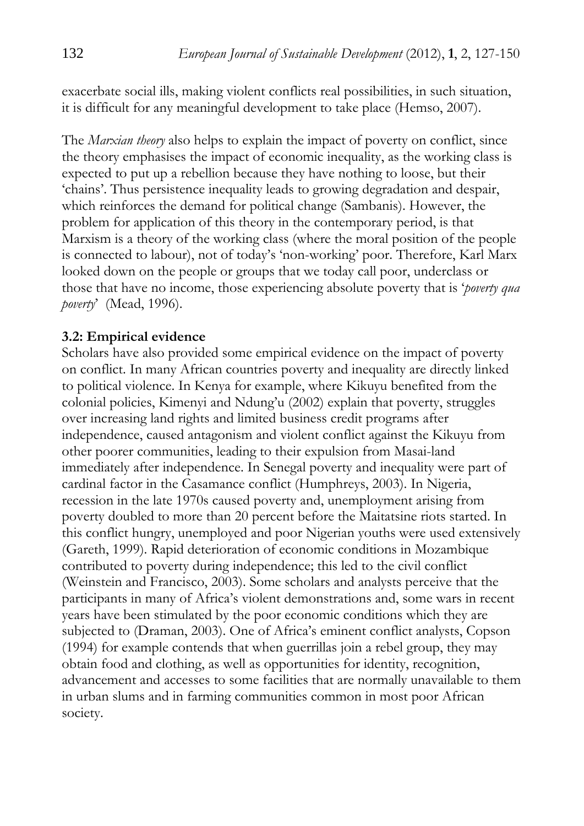exacerbate social ills, making violent conflicts real possibilities, in such situation, it is difficult for any meaningful development to take place (Hemso, 2007).

The *Marxian theory* also helps to explain the impact of poverty on conflict, since the theory emphasises the impact of economic inequality, as the working class is expected to put up a rebellion because they have nothing to loose, but their 'chains'. Thus persistence inequality leads to growing degradation and despair, which reinforces the demand for political change (Sambanis). However, the problem for application of this theory in the contemporary period, is that Marxism is a theory of the working class (where the moral position of the people is connected to labour), not of today's 'non-working' poor. Therefore, Karl Marx looked down on the people or groups that we today call poor, underclass or those that have no income, those experiencing absolute poverty that is '*poverty qua poverty*' (Mead, 1996).

#### **3.2: Empirical evidence**

Scholars have also provided some empirical evidence on the impact of poverty on conflict. In many African countries poverty and inequality are directly linked to political violence. In Kenya for example, where Kikuyu benefited from the colonial policies, Kimenyi and Ndung'u (2002) explain that poverty, struggles over increasing land rights and limited business credit programs after independence, caused antagonism and violent conflict against the Kikuyu from other poorer communities, leading to their expulsion from Masai-land immediately after independence. In Senegal poverty and inequality were part of cardinal factor in the Casamance conflict (Humphreys, 2003). In Nigeria, recession in the late 1970s caused poverty and, unemployment arising from poverty doubled to more than 20 percent before the Maitatsine riots started. In this conflict hungry, unemployed and poor Nigerian youths were used extensively (Gareth, 1999). Rapid deterioration of economic conditions in Mozambique contributed to poverty during independence; this led to the civil conflict (Weinstein and Francisco, 2003). Some scholars and analysts perceive that the participants in many of Africa's violent demonstrations and, some wars in recent years have been stimulated by the poor economic conditions which they are subjected to (Draman, 2003). One of Africa's eminent conflict analysts, Copson (1994) for example contends that when guerrillas join a rebel group, they may obtain food and clothing, as well as opportunities for identity, recognition, advancement and accesses to some facilities that are normally unavailable to them in urban slums and in farming communities common in most poor African society.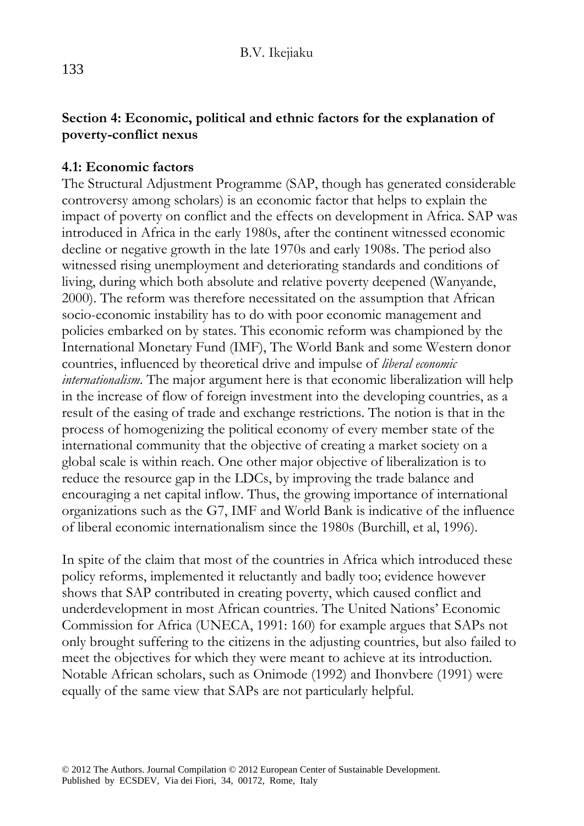#### **Section 4: Economic, political and ethnic factors for the explanation of poverty-conflict nexus**

#### **4.1: Economic factors**

The Structural Adjustment Programme (SAP, though has generated considerable controversy among scholars) is an economic factor that helps to explain the impact of poverty on conflict and the effects on development in Africa. SAP was introduced in Africa in the early 1980s, after the continent witnessed economic decline or negative growth in the late 1970s and early 1908s. The period also witnessed rising unemployment and deteriorating standards and conditions of living, during which both absolute and relative poverty deepened (Wanyande, 2000). The reform was therefore necessitated on the assumption that African socio-economic instability has to do with poor economic management and policies embarked on by states. This economic reform was championed by the International Monetary Fund (IMF), The World Bank and some Western donor countries, influenced by theoretical drive and impulse of *liberal economic internationalism*. The major argument here is that economic liberalization will help in the increase of flow of foreign investment into the developing countries, as a result of the easing of trade and exchange restrictions. The notion is that in the process of homogenizing the political economy of every member state of the international community that the objective of creating a market society on a global scale is within reach. One other major objective of liberalization is to reduce the resource gap in the LDCs, by improving the trade balance and encouraging a net capital inflow. Thus, the growing importance of international organizations such as the G7, IMF and World Bank is indicative of the influence of liberal economic internationalism since the 1980s (Burchill, et al, 1996).

In spite of the claim that most of the countries in Africa which introduced these policy reforms, implemented it reluctantly and badly too; evidence however shows that SAP contributed in creating poverty, which caused conflict and underdevelopment in most African countries. The United Nations' Economic Commission for Africa (UNECA, 1991: 160) for example argues that SAPs not only brought suffering to the citizens in the adjusting countries, but also failed to meet the objectives for which they were meant to achieve at its introduction. Notable African scholars, such as Onimode (1992) and Ihonvbere (1991) were equally of the same view that SAPs are not particularly helpful.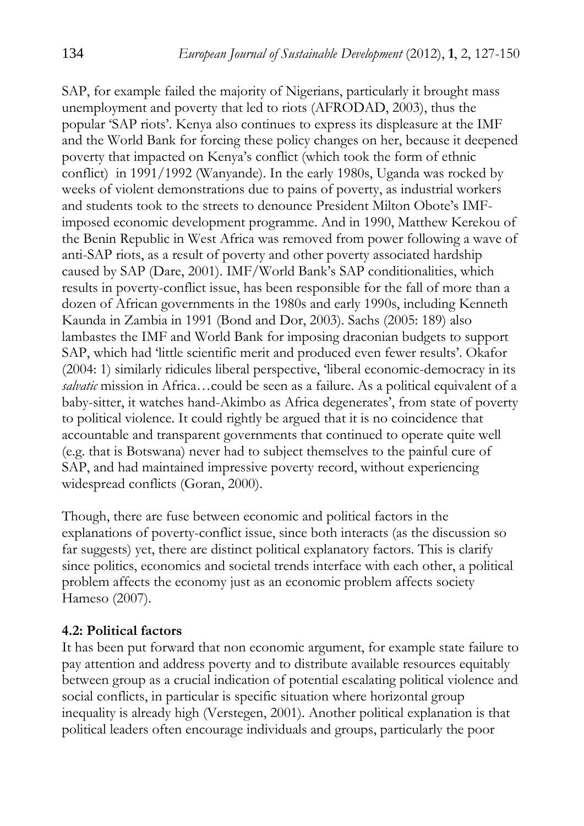SAP, for example failed the majority of Nigerians, particularly it brought mass unemployment and poverty that led to riots (AFRODAD, 2003), thus the popular 'SAP riots'. Kenya also continues to express its displeasure at the IMF and the World Bank for forcing these policy changes on her, because it deepened poverty that impacted on Kenya's conflict (which took the form of ethnic conflict) in 1991/1992 (Wanyande). In the early 1980s, Uganda was rocked by weeks of violent demonstrations due to pains of poverty, as industrial workers and students took to the streets to denounce President Milton Obote's IMFimposed economic development programme. And in 1990, Matthew Kerekou of the Benin Republic in West Africa was removed from power following a wave of anti-SAP riots, as a result of poverty and other poverty associated hardship caused by SAP (Dare, 2001). IMF/World Bank's SAP conditionalities, which results in poverty-conflict issue, has been responsible for the fall of more than a dozen of African governments in the 1980s and early 1990s, including Kenneth Kaunda in Zambia in 1991 (Bond and Dor, 2003). Sachs (2005: 189) also lambastes the IMF and World Bank for imposing draconian budgets to support SAP, which had 'little scientific merit and produced even fewer results'. Okafor (2004: 1) similarly ridicules liberal perspective, 'liberal economic-democracy in its *salvatic* mission in Africa...could be seen as a failure. As a political equivalent of a baby-sitter, it watches hand-Akimbo as Africa degenerates', from state of poverty to political violence. It could rightly be argued that it is no coincidence that accountable and transparent governments that continued to operate quite well (e.g. that is Botswana) never had to subject themselves to the painful cure of SAP, and had maintained impressive poverty record, without experiencing widespread conflicts (Goran, 2000).

Though, there are fuse between economic and political factors in the explanations of poverty-conflict issue, since both interacts (as the discussion so far suggests) yet, there are distinct political explanatory factors. This is clarify since politics, economics and societal trends interface with each other, a political problem affects the economy just as an economic problem affects society Hameso (2007).

#### **4.2: Political factors**

It has been put forward that non economic argument, for example state failure to pay attention and address poverty and to distribute available resources equitably between group as a crucial indication of potential escalating political violence and social conflicts, in particular is specific situation where horizontal group inequality is already high (Verstegen, 2001). Another political explanation is that political leaders often encourage individuals and groups, particularly the poor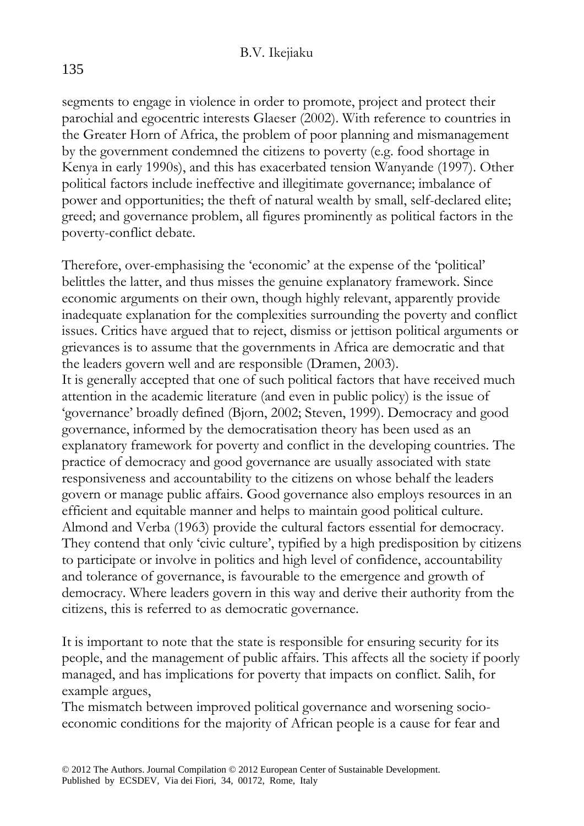segments to engage in violence in order to promote, project and protect their parochial and egocentric interests Glaeser (2002). With reference to countries in the Greater Horn of Africa, the problem of poor planning and mismanagement by the government condemned the citizens to poverty (e.g. food shortage in Kenya in early 1990s), and this has exacerbated tension Wanyande (1997). Other political factors include ineffective and illegitimate governance; imbalance of power and opportunities; the theft of natural wealth by small, self-declared elite; greed; and governance problem, all figures prominently as political factors in the poverty-conflict debate.

Therefore, over-emphasising the 'economic' at the expense of the 'political' belittles the latter, and thus misses the genuine explanatory framework. Since economic arguments on their own, though highly relevant, apparently provide inadequate explanation for the complexities surrounding the poverty and conflict issues. Critics have argued that to reject, dismiss or jettison political arguments or grievances is to assume that the governments in Africa are democratic and that the leaders govern well and are responsible (Dramen, 2003). It is generally accepted that one of such political factors that have received much attention in the academic literature (and even in public policy) is the issue of 'governance' broadly defined (Bjorn, 2002; Steven, 1999). Democracy and good governance, informed by the democratisation theory has been used as an explanatory framework for poverty and conflict in the developing countries. The practice of democracy and good governance are usually associated with state responsiveness and accountability to the citizens on whose behalf the leaders govern or manage public affairs. Good governance also employs resources in an efficient and equitable manner and helps to maintain good political culture. Almond and Verba (1963) provide the cultural factors essential for democracy. They contend that only 'civic culture', typified by a high predisposition by citizens to participate or involve in politics and high level of confidence, accountability and tolerance of governance, is favourable to the emergence and growth of democracy. Where leaders govern in this way and derive their authority from the citizens, this is referred to as democratic governance.

It is important to note that the state is responsible for ensuring security for its people, and the management of public affairs. This affects all the society if poorly managed, and has implications for poverty that impacts on conflict. Salih, for example argues,

The mismatch between improved political governance and worsening socioeconomic conditions for the majority of African people is a cause for fear and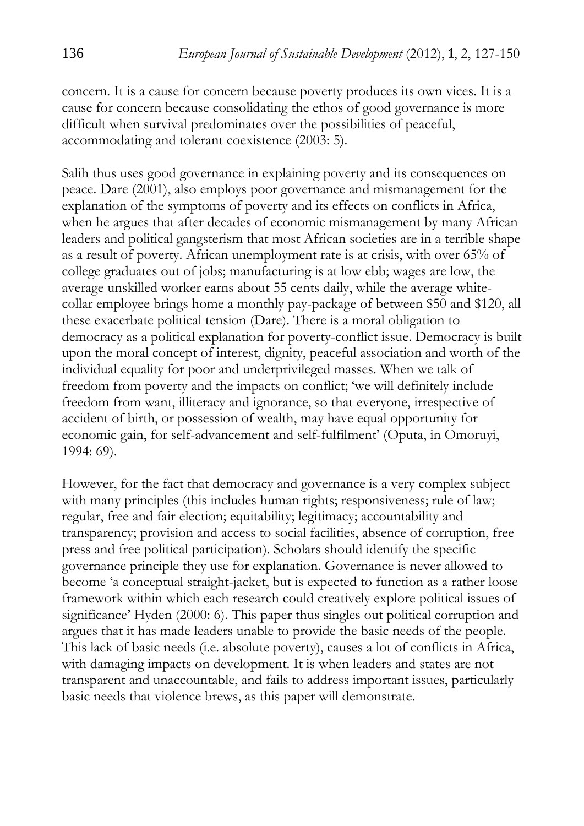concern. It is a cause for concern because poverty produces its own vices. It is a cause for concern because consolidating the ethos of good governance is more difficult when survival predominates over the possibilities of peaceful, accommodating and tolerant coexistence (2003: 5).

Salih thus uses good governance in explaining poverty and its consequences on peace. Dare (2001), also employs poor governance and mismanagement for the explanation of the symptoms of poverty and its effects on conflicts in Africa, when he argues that after decades of economic mismanagement by many African leaders and political gangsterism that most African societies are in a terrible shape as a result of poverty. African unemployment rate is at crisis, with over 65% of college graduates out of jobs; manufacturing is at low ebb; wages are low, the average unskilled worker earns about 55 cents daily, while the average whitecollar employee brings home a monthly pay-package of between \$50 and \$120, all these exacerbate political tension (Dare). There is a moral obligation to democracy as a political explanation for poverty-conflict issue. Democracy is built upon the moral concept of interest, dignity, peaceful association and worth of the individual equality for poor and underprivileged masses. When we talk of freedom from poverty and the impacts on conflict; 'we will definitely include freedom from want, illiteracy and ignorance, so that everyone, irrespective of accident of birth, or possession of wealth, may have equal opportunity for economic gain, for self-advancement and self-fulfilment' (Oputa, in Omoruyi, 1994: 69).

However, for the fact that democracy and governance is a very complex subject with many principles (this includes human rights; responsiveness; rule of law; regular, free and fair election; equitability; legitimacy; accountability and transparency; provision and access to social facilities, absence of corruption, free press and free political participation). Scholars should identify the specific governance principle they use for explanation. Governance is never allowed to become 'a conceptual straight-jacket, but is expected to function as a rather loose framework within which each research could creatively explore political issues of significance' Hyden (2000: 6). This paper thus singles out political corruption and argues that it has made leaders unable to provide the basic needs of the people. This lack of basic needs (i.e. absolute poverty), causes a lot of conflicts in Africa, with damaging impacts on development. It is when leaders and states are not transparent and unaccountable, and fails to address important issues, particularly basic needs that violence brews, as this paper will demonstrate.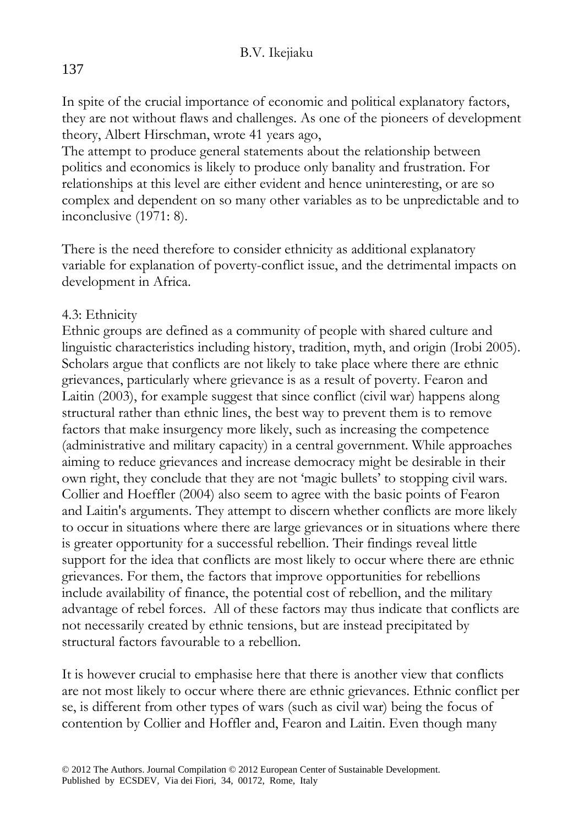137

In spite of the crucial importance of economic and political explanatory factors, they are not without flaws and challenges. As one of the pioneers of development theory, Albert Hirschman, wrote 41 years ago,

The attempt to produce general statements about the relationship between politics and economics is likely to produce only banality and frustration. For relationships at this level are either evident and hence uninteresting, or are so complex and dependent on so many other variables as to be unpredictable and to inconclusive (1971: 8).

There is the need therefore to consider ethnicity as additional explanatory variable for explanation of poverty-conflict issue, and the detrimental impacts on development in Africa.

#### 4.3: Ethnicity

Ethnic groups are defined as a community of people with shared culture and linguistic characteristics including history, tradition, myth, and origin (Irobi 2005). Scholars argue that conflicts are not likely to take place where there are ethnic grievances, particularly where grievance is as a result of poverty. Fearon and Laitin (2003), for example suggest that since conflict (civil war) happens along structural rather than ethnic lines, the best way to prevent them is to remove factors that make insurgency more likely, such as increasing the competence (administrative and military capacity) in a central government. While approaches aiming to reduce grievances and increase democracy might be desirable in their own right, they conclude that they are not 'magic bullets' to stopping civil wars. Collier and Hoeffler (2004) also seem to agree with the basic points of Fearon and Laitin's arguments. They attempt to discern whether conflicts are more likely to occur in situations where there are large grievances or in situations where there is greater opportunity for a successful rebellion. Their findings reveal little support for the idea that conflicts are most likely to occur where there are ethnic grievances. For them, the factors that improve opportunities for rebellions include availability of finance, the potential cost of rebellion, and the military advantage of rebel forces. All of these factors may thus indicate that conflicts are not necessarily created by ethnic tensions, but are instead precipitated by structural factors favourable to a rebellion.

It is however crucial to emphasise here that there is another view that conflicts are not most likely to occur where there are ethnic grievances. Ethnic conflict per se, is different from other types of wars (such as civil war) being the focus of contention by Collier and Hoffler and, Fearon and Laitin. Even though many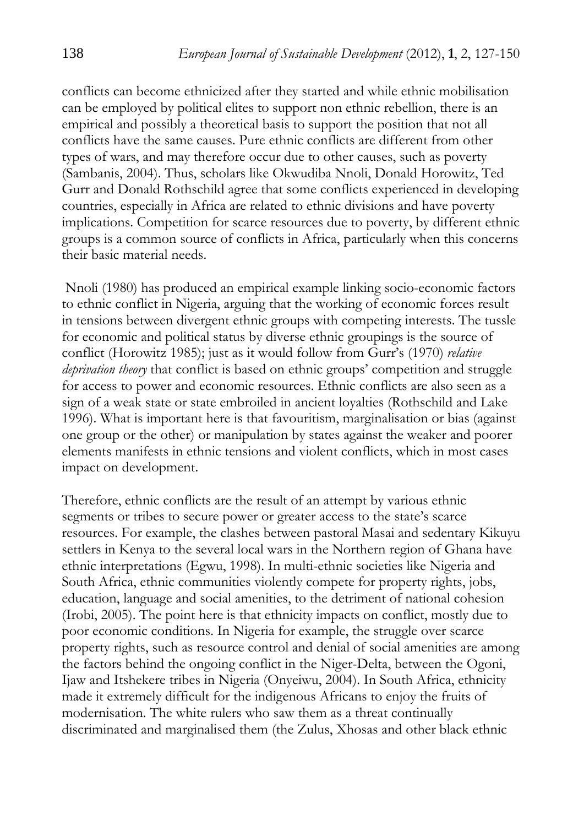conflicts can become ethnicized after they started and while ethnic mobilisation can be employed by political elites to support non ethnic rebellion, there is an empirical and possibly a theoretical basis to support the position that not all conflicts have the same causes. Pure ethnic conflicts are different from other types of wars, and may therefore occur due to other causes, such as poverty (Sambanis, 2004). Thus, scholars like Okwudiba Nnoli, Donald Horowitz, Ted Gurr and Donald Rothschild agree that some conflicts experienced in developing countries, especially in Africa are related to ethnic divisions and have poverty implications. Competition for scarce resources due to poverty, by different ethnic groups is a common source of conflicts in Africa, particularly when this concerns their basic material needs.

 Nnoli (1980) has produced an empirical example linking socio-economic factors to ethnic conflict in Nigeria, arguing that the working of economic forces result in tensions between divergent ethnic groups with competing interests. The tussle for economic and political status by diverse ethnic groupings is the source of conflict (Horowitz 1985); just as it would follow from Gurr's (1970) *relative deprivation theory* that conflict is based on ethnic groups' competition and struggle for access to power and economic resources. Ethnic conflicts are also seen as a sign of a weak state or state embroiled in ancient loyalties (Rothschild and Lake 1996). What is important here is that favouritism, marginalisation or bias (against one group or the other) or manipulation by states against the weaker and poorer elements manifests in ethnic tensions and violent conflicts, which in most cases impact on development.

Therefore, ethnic conflicts are the result of an attempt by various ethnic segments or tribes to secure power or greater access to the state's scarce resources. For example, the clashes between pastoral Masai and sedentary Kikuyu settlers in Kenya to the several local wars in the Northern region of Ghana have ethnic interpretations (Egwu, 1998). In multi-ethnic societies like Nigeria and South Africa, ethnic communities violently compete for property rights, jobs, education, language and social amenities, to the detriment of national cohesion (Irobi, 2005). The point here is that ethnicity impacts on conflict, mostly due to poor economic conditions. In Nigeria for example, the struggle over scarce property rights, such as resource control and denial of social amenities are among the factors behind the ongoing conflict in the Niger-Delta, between the Ogoni, Ijaw and Itshekere tribes in Nigeria (Onyeiwu, 2004). In South Africa, ethnicity made it extremely difficult for the indigenous Africans to enjoy the fruits of modernisation. The white rulers who saw them as a threat continually discriminated and marginalised them (the Zulus, Xhosas and other black ethnic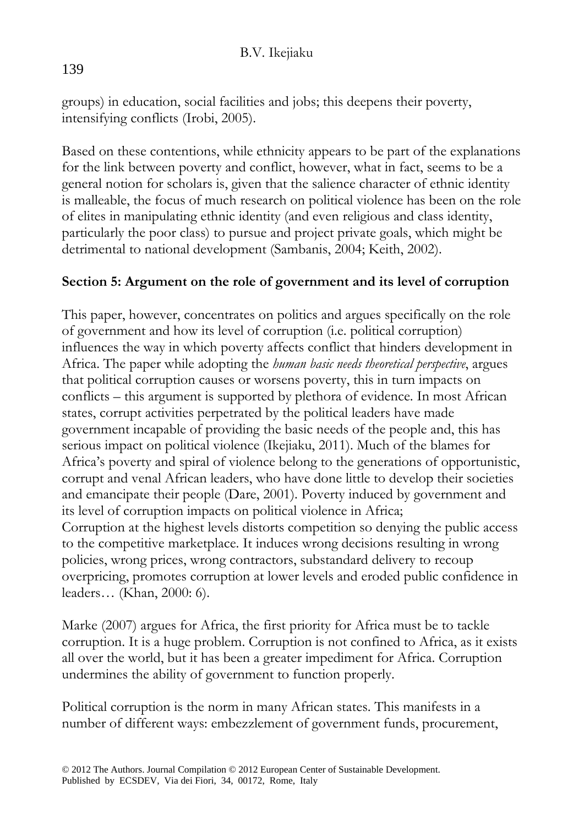groups) in education, social facilities and jobs; this deepens their poverty,

intensifying conflicts (Irobi, 2005).

Based on these contentions, while ethnicity appears to be part of the explanations for the link between poverty and conflict, however, what in fact, seems to be a general notion for scholars is, given that the salience character of ethnic identity is malleable, the focus of much research on political violence has been on the role of elites in manipulating ethnic identity (and even religious and class identity, particularly the poor class) to pursue and project private goals, which might be detrimental to national development (Sambanis, 2004; Keith, 2002).

## **Section 5: Argument on the role of government and its level of corruption**

This paper, however, concentrates on politics and argues specifically on the role of government and how its level of corruption (i.e. political corruption) influences the way in which poverty affects conflict that hinders development in Africa. The paper while adopting the *human basic needs theoretical perspective*, argues that political corruption causes or worsens poverty, this in turn impacts on conflicts – this argument is supported by plethora of evidence. In most African states, corrupt activities perpetrated by the political leaders have made government incapable of providing the basic needs of the people and, this has serious impact on political violence (Ikejiaku, 2011). Much of the blames for Africa's poverty and spiral of violence belong to the generations of opportunistic, corrupt and venal African leaders, who have done little to develop their societies and emancipate their people (Dare, 2001). Poverty induced by government and its level of corruption impacts on political violence in Africa; Corruption at the highest levels distorts competition so denying the public access to the competitive marketplace. It induces wrong decisions resulting in wrong policies, wrong prices, wrong contractors, substandard delivery to recoup overpricing, promotes corruption at lower levels and eroded public confidence in leaders… (Khan, 2000: 6).

Marke (2007) argues for Africa, the first priority for Africa must be to tackle corruption. It is a huge problem. Corruption is not confined to Africa, as it exists all over the world, but it has been a greater impediment for Africa. Corruption undermines the ability of government to function properly.

Political corruption is the norm in many African states. This manifests in a number of different ways: embezzlement of government funds, procurement,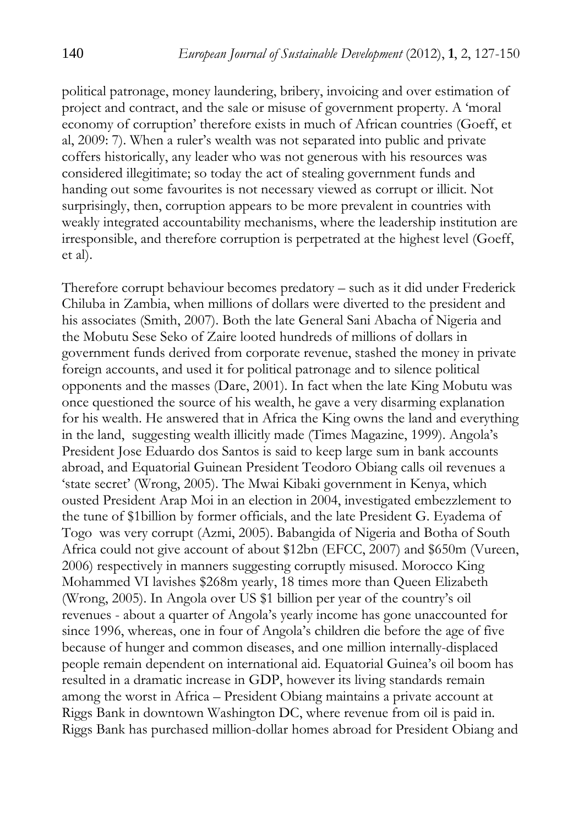political patronage, money laundering, bribery, invoicing and over estimation of project and contract, and the sale or misuse of government property. A 'moral economy of corruption' therefore exists in much of African countries (Goeff, et al, 2009: 7). When a ruler's wealth was not separated into public and private coffers historically, any leader who was not generous with his resources was considered illegitimate; so today the act of stealing government funds and handing out some favourites is not necessary viewed as corrupt or illicit. Not surprisingly, then, corruption appears to be more prevalent in countries with weakly integrated accountability mechanisms, where the leadership institution are irresponsible, and therefore corruption is perpetrated at the highest level (Goeff, et al).

Therefore corrupt behaviour becomes predatory – such as it did under Frederick Chiluba in Zambia, when millions of dollars were diverted to the president and his associates (Smith, 2007). Both the late General Sani Abacha of Nigeria and the Mobutu Sese Seko of Zaire looted hundreds of millions of dollars in government funds derived from corporate revenue, stashed the money in private foreign accounts, and used it for political patronage and to silence political opponents and the masses (Dare, 2001). In fact when the late King Mobutu was once questioned the source of his wealth, he gave a very disarming explanation for his wealth. He answered that in Africa the King owns the land and everything in the land, suggesting wealth illicitly made (Times Magazine, 1999). Angola's President Jose Eduardo dos Santos is said to keep large sum in bank accounts abroad, and Equatorial Guinean President Teodoro Obiang calls oil revenues a 'state secret' (Wrong, 2005). The Mwai Kibaki government in Kenya, which ousted President Arap Moi in an election in 2004, investigated embezzlement to the tune of \$1billion by former officials, and the late President G. Eyadema of Togo was very corrupt (Azmi, 2005). Babangida of Nigeria and Botha of South Africa could not give account of about \$12bn (EFCC, 2007) and \$650m (Vureen, 2006) respectively in manners suggesting corruptly misused. Morocco King Mohammed VI lavishes \$268m yearly, 18 times more than Queen Elizabeth (Wrong, 2005). In Angola over US \$1 billion per year of the country's oil revenues - about a quarter of Angola's yearly income has gone unaccounted for since 1996, whereas, one in four of Angola's children die before the age of five because of hunger and common diseases, and one million internally-displaced people remain dependent on international aid. Equatorial Guinea's oil boom has resulted in a dramatic increase in GDP, however its living standards remain among the worst in Africa – President Obiang maintains a private account at Riggs Bank in downtown Washington DC, where revenue from oil is paid in. Riggs Bank has purchased million-dollar homes abroad for President Obiang and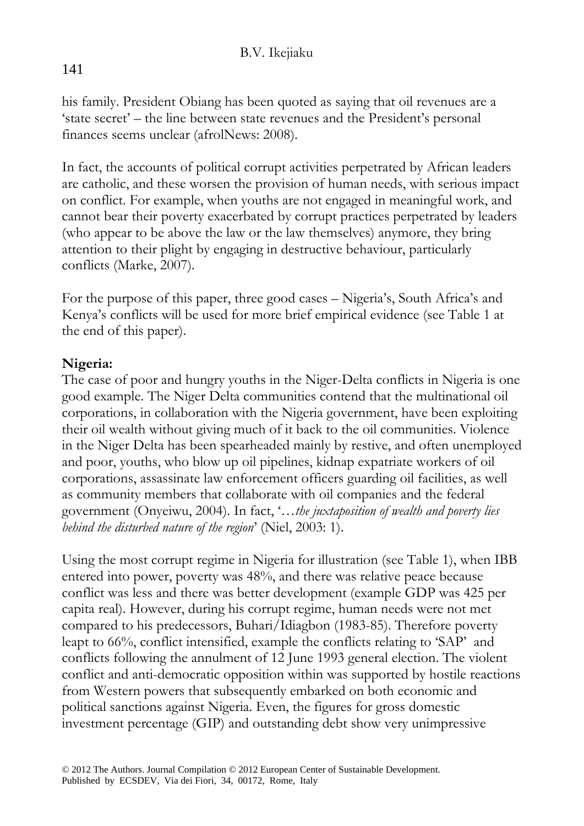## 141

his family. President Obiang has been quoted as saying that oil revenues are a 'state secret' – the line between state revenues and the President's personal finances seems unclear (afrolNews: 2008).

In fact, the accounts of political corrupt activities perpetrated by African leaders are catholic, and these worsen the provision of human needs, with serious impact on conflict. For example, when youths are not engaged in meaningful work, and cannot bear their poverty exacerbated by corrupt practices perpetrated by leaders (who appear to be above the law or the law themselves) anymore, they bring attention to their plight by engaging in destructive behaviour, particularly conflicts (Marke, 2007).

For the purpose of this paper, three good cases – Nigeria's, South Africa's and Kenya's conflicts will be used for more brief empirical evidence (see Table 1 at the end of this paper).

#### **Nigeria:**

The case of poor and hungry youths in the Niger-Delta conflicts in Nigeria is one good example. The Niger Delta communities contend that the multinational oil corporations, in collaboration with the Nigeria government, have been exploiting their oil wealth without giving much of it back to the oil communities. Violence in the Niger Delta has been spearheaded mainly by restive, and often unemployed and poor, youths, who blow up oil pipelines, kidnap expatriate workers of oil corporations, assassinate law enforcement officers guarding oil facilities, as well as community members that collaborate with oil companies and the federal government (Onyeiwu, 2004). In fact, '*…the juxtaposition of wealth and poverty lies behind the disturbed nature of the region*' (Niel, 2003: 1).

Using the most corrupt regime in Nigeria for illustration (see Table 1), when IBB entered into power, poverty was 48%, and there was relative peace because conflict was less and there was better development (example GDP was 425 per capita real). However, during his corrupt regime, human needs were not met compared to his predecessors, Buhari/Idiagbon (1983-85). Therefore poverty leapt to 66%, conflict intensified, example the conflicts relating to 'SAP' and conflicts following the annulment of 12 June 1993 general election. The violent conflict and anti-democratic opposition within was supported by hostile reactions from Western powers that subsequently embarked on both economic and political sanctions against Nigeria. Even, the figures for gross domestic investment percentage (GIP) and outstanding debt show very unimpressive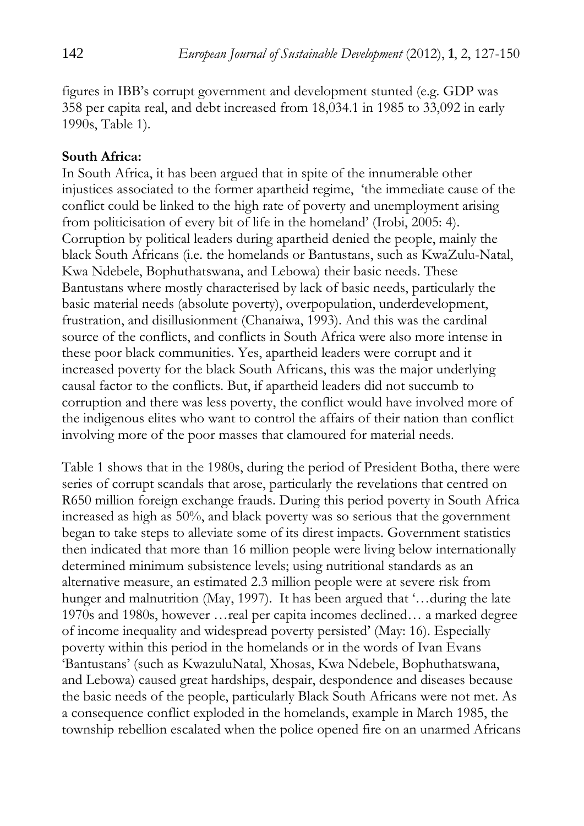figures in IBB's corrupt government and development stunted (e.g. GDP was 358 per capita real, and debt increased from 18,034.1 in 1985 to 33,092 in early 1990s, Table 1).

#### **South Africa:**

In South Africa, it has been argued that in spite of the innumerable other injustices associated to the former apartheid regime, 'the immediate cause of the conflict could be linked to the high rate of poverty and unemployment arising from politicisation of every bit of life in the homeland' (Irobi, 2005: 4). Corruption by political leaders during apartheid denied the people, mainly the black South Africans (i.e. the homelands or Bantustans, such as KwaZulu-Natal, Kwa Ndebele, Bophuthatswana, and Lebowa) their basic needs. These Bantustans where mostly characterised by lack of basic needs, particularly the basic material needs (absolute poverty), overpopulation, underdevelopment, frustration, and disillusionment (Chanaiwa, 1993). And this was the cardinal source of the conflicts, and conflicts in South Africa were also more intense in these poor black communities. Yes, apartheid leaders were corrupt and it increased poverty for the black South Africans, this was the major underlying causal factor to the conflicts. But, if apartheid leaders did not succumb to corruption and there was less poverty, the conflict would have involved more of the indigenous elites who want to control the affairs of their nation than conflict involving more of the poor masses that clamoured for material needs.

Table 1 shows that in the 1980s, during the period of President Botha, there were series of corrupt scandals that arose, particularly the revelations that centred on R650 million foreign exchange frauds. During this period poverty in South Africa increased as high as 50%, and black poverty was so serious that the government began to take steps to alleviate some of its direst impacts. Government statistics then indicated that more than 16 million people were living below internationally determined minimum subsistence levels; using nutritional standards as an alternative measure, an estimated 2.3 million people were at severe risk from hunger and malnutrition (May, 1997). It has been argued that '... during the late 1970s and 1980s, however …real per capita incomes declined… a marked degree of income inequality and widespread poverty persisted' (May: 16). Especially poverty within this period in the homelands or in the words of Ivan Evans 'Bantustans' (such as KwazuluNatal, Xhosas, Kwa Ndebele, Bophuthatswana, and Lebowa) caused great hardships, despair, despondence and diseases because the basic needs of the people, particularly Black South Africans were not met. As a consequence conflict exploded in the homelands, example in March 1985, the township rebellion escalated when the police opened fire on an unarmed Africans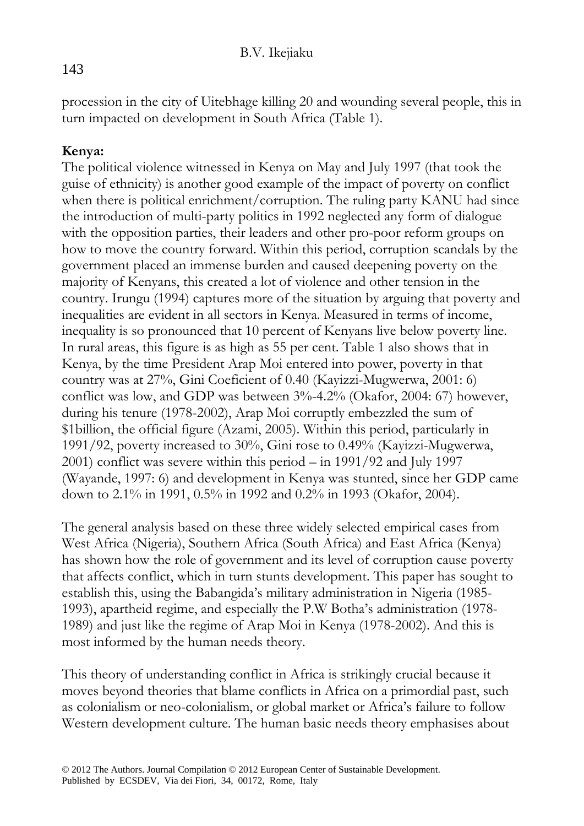procession in the city of Uitebhage killing 20 and wounding several people, this in turn impacted on development in South Africa (Table 1).

## **Kenya:**

The political violence witnessed in Kenya on May and July 1997 (that took the guise of ethnicity) is another good example of the impact of poverty on conflict when there is political enrichment/corruption. The ruling party KANU had since the introduction of multi-party politics in 1992 neglected any form of dialogue with the opposition parties, their leaders and other pro-poor reform groups on how to move the country forward. Within this period, corruption scandals by the government placed an immense burden and caused deepening poverty on the majority of Kenyans, this created a lot of violence and other tension in the country. Irungu (1994) captures more of the situation by arguing that poverty and inequalities are evident in all sectors in Kenya. Measured in terms of income, inequality is so pronounced that 10 percent of Kenyans live below poverty line. In rural areas, this figure is as high as 55 per cent. Table 1 also shows that in Kenya, by the time President Arap Moi entered into power, poverty in that country was at 27%, Gini Coeficient of 0.40 (Kayizzi-Mugwerwa, 2001: 6) conflict was low, and GDP was between 3%-4.2% (Okafor, 2004: 67) however, during his tenure (1978-2002), Arap Moi corruptly embezzled the sum of \$1billion, the official figure (Azami, 2005). Within this period, particularly in 1991/92, poverty increased to 30%, Gini rose to 0.49% (Kayizzi-Mugwerwa, 2001) conflict was severe within this period – in 1991/92 and July 1997 (Wayande, 1997: 6) and development in Kenya was stunted, since her GDP came down to 2.1% in 1991, 0.5% in 1992 and 0.2% in 1993 (Okafor, 2004).

The general analysis based on these three widely selected empirical cases from West Africa (Nigeria), Southern Africa (South Africa) and East Africa (Kenya) has shown how the role of government and its level of corruption cause poverty that affects conflict, which in turn stunts development. This paper has sought to establish this, using the Babangida's military administration in Nigeria (1985- 1993), apartheid regime, and especially the P.W Botha's administration (1978- 1989) and just like the regime of Arap Moi in Kenya (1978-2002). And this is most informed by the human needs theory.

This theory of understanding conflict in Africa is strikingly crucial because it moves beyond theories that blame conflicts in Africa on a primordial past, such as colonialism or neo-colonialism, or global market or Africa's failure to follow Western development culture. The human basic needs theory emphasises about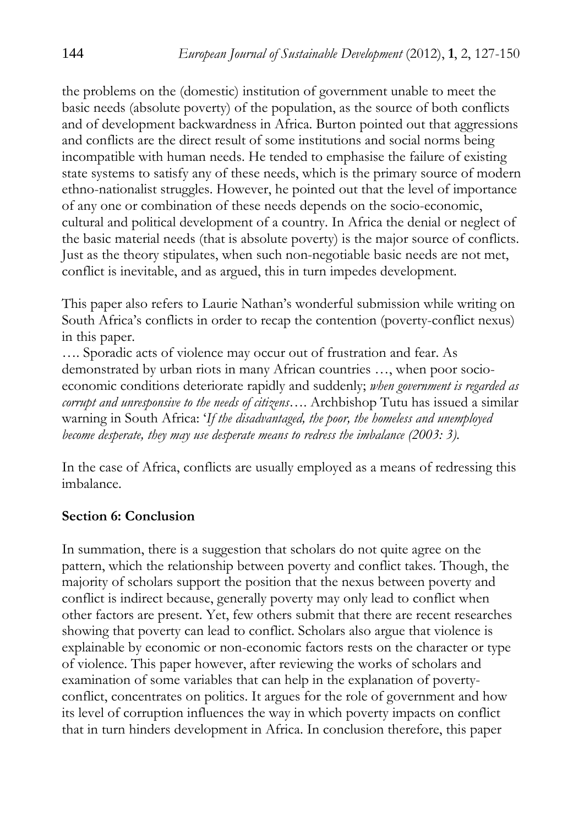the problems on the (domestic) institution of government unable to meet the basic needs (absolute poverty) of the population, as the source of both conflicts and of development backwardness in Africa. Burton pointed out that aggressions and conflicts are the direct result of some institutions and social norms being incompatible with human needs. He tended to emphasise the failure of existing state systems to satisfy any of these needs, which is the primary source of modern ethno-nationalist struggles. However, he pointed out that the level of importance of any one or combination of these needs depends on the socio-economic, cultural and political development of a country. In Africa the denial or neglect of the basic material needs (that is absolute poverty) is the major source of conflicts. Just as the theory stipulates, when such non-negotiable basic needs are not met, conflict is inevitable, and as argued, this in turn impedes development.

This paper also refers to Laurie Nathan's wonderful submission while writing on South Africa's conflicts in order to recap the contention (poverty-conflict nexus) in this paper.

…. Sporadic acts of violence may occur out of frustration and fear. As demonstrated by urban riots in many African countries …, when poor socioeconomic conditions deteriorate rapidly and suddenly; *when government is regarded as corrupt and unresponsive to the needs of citizens*…. Archbishop Tutu has issued a similar warning in South Africa: '*If the disadvantaged, the poor, the homeless and unemployed become desperate, they may use desperate means to redress the imbalance (2003: 3).* 

In the case of Africa, conflicts are usually employed as a means of redressing this imbalance.

#### **Section 6: Conclusion**

In summation, there is a suggestion that scholars do not quite agree on the pattern, which the relationship between poverty and conflict takes. Though, the majority of scholars support the position that the nexus between poverty and conflict is indirect because, generally poverty may only lead to conflict when other factors are present. Yet, few others submit that there are recent researches showing that poverty can lead to conflict. Scholars also argue that violence is explainable by economic or non-economic factors rests on the character or type of violence. This paper however, after reviewing the works of scholars and examination of some variables that can help in the explanation of povertyconflict, concentrates on politics. It argues for the role of government and how its level of corruption influences the way in which poverty impacts on conflict that in turn hinders development in Africa. In conclusion therefore, this paper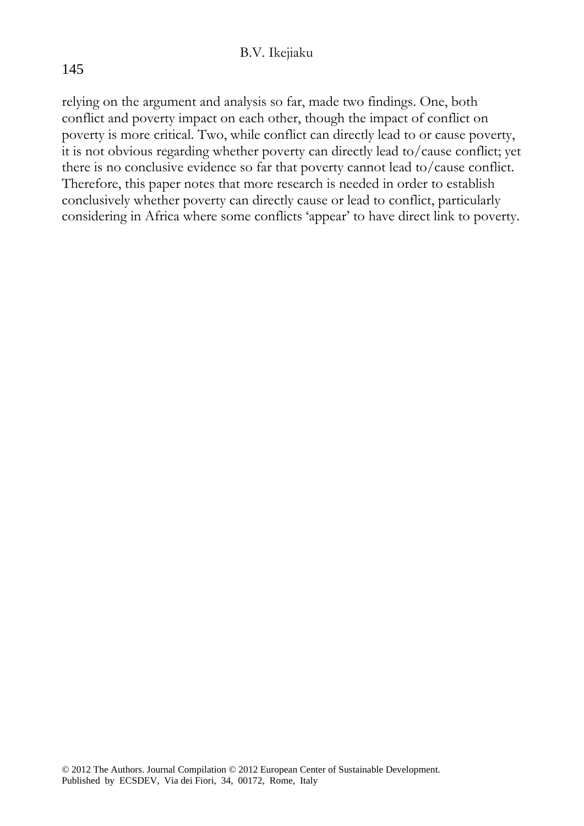relying on the argument and analysis so far, made two findings. One, both conflict and poverty impact on each other, though the impact of conflict on poverty is more critical. Two, while conflict can directly lead to or cause poverty, it is not obvious regarding whether poverty can directly lead to/cause conflict; yet there is no conclusive evidence so far that poverty cannot lead to/cause conflict. Therefore, this paper notes that more research is needed in order to establish conclusively whether poverty can directly cause or lead to conflict, particularly considering in Africa where some conflicts 'appear' to have direct link to poverty.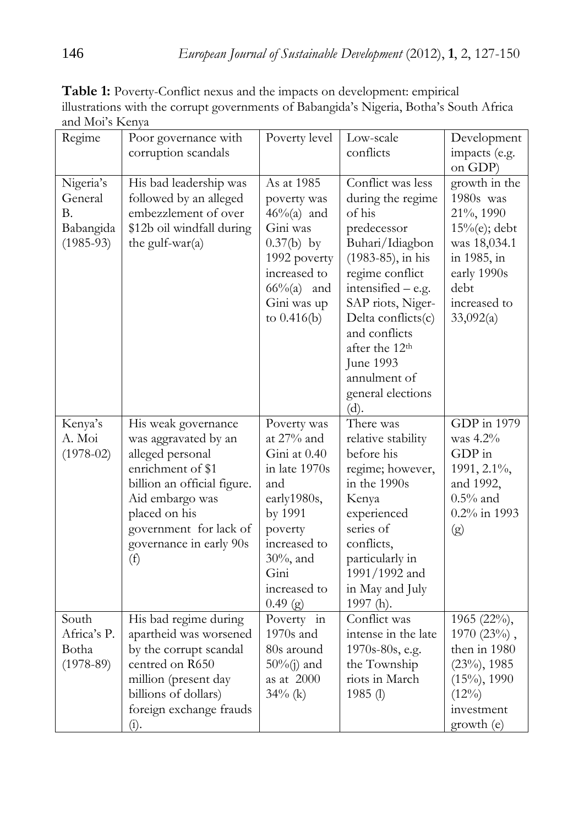**Table 1:** Poverty-Conflict nexus and the impacts on development: empirical illustrations with the corrupt governments of Babangida's Nigeria, Botha's South Africa and Moi's Kenya

| Regime                                                        | Poor governance with<br>corruption scandals                                                                                                                                                                         | Poverty level                                                                                                                                                             | Low-scale<br>conflicts                                                                                                                                                                                                                                                                                  | Development<br>impacts (e.g.                                                                                                                   |
|---------------------------------------------------------------|---------------------------------------------------------------------------------------------------------------------------------------------------------------------------------------------------------------------|---------------------------------------------------------------------------------------------------------------------------------------------------------------------------|---------------------------------------------------------------------------------------------------------------------------------------------------------------------------------------------------------------------------------------------------------------------------------------------------------|------------------------------------------------------------------------------------------------------------------------------------------------|
|                                                               |                                                                                                                                                                                                                     |                                                                                                                                                                           |                                                                                                                                                                                                                                                                                                         | on GDP)                                                                                                                                        |
| Nigeria's<br>General<br><b>B.</b><br>Babangida<br>$(1985-93)$ | His bad leadership was<br>followed by an alleged<br>embezzlement of over<br>\$12b oil windfall during<br>the gulf-war(a)                                                                                            | As at 1985<br>poverty was<br>$46\%$ (a) and<br>Gini was<br>$0.37(b)$ by<br>1992 poverty<br>increased to<br>$66\%$ (a) and<br>Gini was up<br>to $0.416(b)$                 | Conflict was less<br>during the regime<br>of his<br>predecessor<br>Buhari/Idiagbon<br>$(1983-85)$ , in his<br>regime conflict<br>intensified – e.g.<br>SAP riots, Niger-<br>Delta conflicts(c)<br>and conflicts<br>after the 12 <sup>th</sup><br>June 1993<br>annulment of<br>general elections<br>(d). | growth in the<br>1980s was<br>21%, 1990<br>$15\%$ (e); debt<br>was 18,034.1<br>in 1985, in<br>early 1990s<br>debt<br>increased to<br>33,092(a) |
| Kenya's<br>A. Moi<br>$(1978-02)$                              | His weak governance<br>was aggravated by an<br>alleged personal<br>enrichment of \$1<br>billion an official figure.<br>Aid embargo was<br>placed on his<br>government for lack of<br>governance in early 90s<br>(f) | Poverty was<br>at 27% and<br>Gini at 0.40<br>in late 1970s<br>and<br>early1980s,<br>by 1991<br>poverty<br>increased to<br>$30\%$ , and<br>Gini<br>increased to<br>0.49(g) | There was<br>relative stability<br>before his<br>regime; however,<br>in the 1990s<br>Kenya<br>experienced<br>series of<br>conflicts,<br>particularly in<br>1991/1992 and<br>in May and July<br>$1997(h)$ .                                                                                              | GDP in 1979<br>was 4.2%<br>GDP in<br>1991, 2.1%,<br>and 1992,<br>$0.5\%$ and<br>0.2% in 1993<br>(g)                                            |
| South<br>Africa's P.<br>Botha<br>$(1978-89)$                  | His bad regime during<br>apartheid was worsened<br>by the corrupt scandal<br>centred on R650<br>million (present day<br>billions of dollars)<br>foreign exchange frauds<br>(i).                                     | Poverty in<br>$1970s$ and<br>80s around<br>$50\%$ (j) and<br>as at 2000<br>$34\%$ (k)                                                                                     | Conflict was<br>intense in the late<br>1970s-80s, e.g.<br>the Township<br>riots in March<br>1985 $(l)$                                                                                                                                                                                                  | 1965 (22%),<br>$1970(23%)$ ,<br>then in 1980<br>$(23\%)$ , 1985<br>$(15\%)$ , 1990<br>$(12\%)$<br>investment<br>growth (e)                     |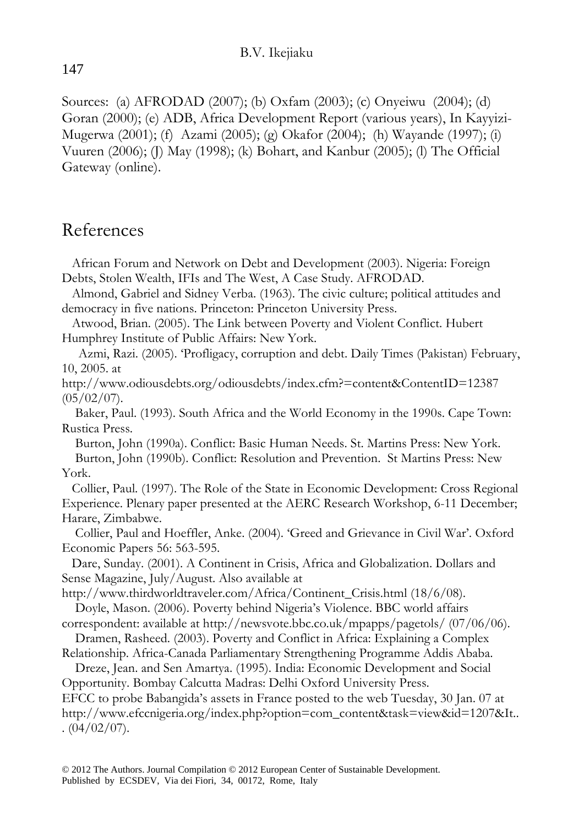Sources: (a) AFRODAD (2007); (b) Oxfam (2003); (c) Onyeiwu (2004); (d) Goran (2000); (e) ADB, Africa Development Report (various years), In Kayyizi-Mugerwa (2001); (f) Azami (2005); (g) Okafor (2004); (h) Wayande (1997); (i) Vuuren (2006); (J) May (1998); (k) Bohart, and Kanbur (2005); (l) The Official Gateway (online).

## References

 African Forum and Network on Debt and Development (2003). Nigeria: Foreign Debts, Stolen Wealth, IFIs and The West, A Case Study. AFRODAD.

 Almond, Gabriel and Sidney Verba. (1963). The civic culture; political attitudes and democracy in five nations. Princeton: Princeton University Press.

 Atwood, Brian. (2005). The Link between Poverty and Violent Conflict. Hubert Humphrey Institute of Public Affairs: New York.

 Azmi, Razi. (2005). 'Profligacy, corruption and debt. Daily Times (Pakistan) February, 10, 2005. at

http://www.odiousdebts.org/odiousdebts/index.cfm?=content&ContentID=12387  $(05/02/07)$ .

 Baker, Paul. (1993). South Africa and the World Economy in the 1990s. Cape Town: Rustica Press.

 Burton, John (1990a). Conflict: Basic Human Needs. St. Martins Press: New York. Burton, John (1990b). Conflict: Resolution and Prevention. St Martins Press: New York.

 Collier, Paul. (1997). The Role of the State in Economic Development: Cross Regional Experience. Plenary paper presented at the AERC Research Workshop, 6-11 December; Harare, Zimbabwe.

 Collier, Paul and Hoeffler, Anke. (2004). 'Greed and Grievance in Civil War'. Oxford Economic Papers 56: 563-595.

 Dare, Sunday. (2001). A Continent in Crisis, Africa and Globalization. Dollars and Sense Magazine, July/August. Also available at

http://www.thirdworldtraveler.com/Africa/Continent\_Crisis.html (18/6/08).

 Doyle, Mason. (2006). Poverty behind Nigeria's Violence. BBC world affairs correspondent: available at http://newsvote.bbc.co.uk/mpapps/pagetols/ (07/06/06).

 Dramen, Rasheed. (2003). Poverty and Conflict in Africa: Explaining a Complex Relationship. Africa-Canada Parliamentary Strengthening Programme Addis Ababa.

 Dreze, Jean. and Sen Amartya. (1995). India: Economic Development and Social Opportunity. Bombay Calcutta Madras: Delhi Oxford University Press.

EFCC to probe Babangida's assets in France posted to the web Tuesday, 30 Jan. 07 at http://www.efccnigeria.org/index.php?option=com\_content&task=view&id=1207&It..  $. (04/02/07).$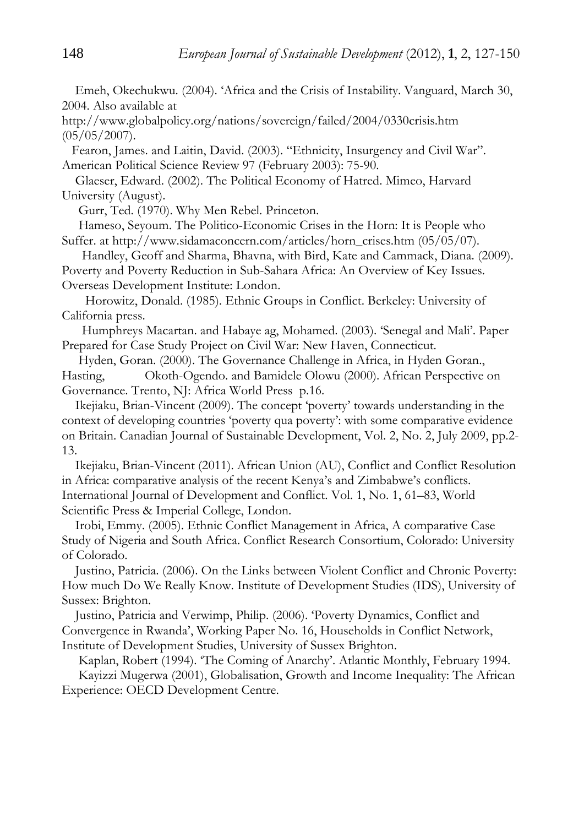Emeh, Okechukwu. (2004). 'Africa and the Crisis of Instability. Vanguard, March 30, 2004. Also available at

http://www.globalpolicy.org/nations/sovereign/failed/2004/0330crisis.htm  $(05/05/2007)$ .

 Fearon, James. and Laitin, David. (2003). "Ethnicity, Insurgency and Civil War". American Political Science Review 97 (February 2003): 75-90.

 Glaeser, Edward. (2002). The Political Economy of Hatred. Mimeo, Harvard University (August).

Gurr, Ted. (1970). Why Men Rebel. Princeton.

 Hameso, Seyoum. The Politico-Economic Crises in the Horn: It is People who Suffer. at http://www.sidamaconcern.com/articles/horn\_crises.htm (05/05/07).

 Handley, Geoff and Sharma, Bhavna, with Bird, Kate and Cammack, Diana. (2009). Poverty and Poverty Reduction in Sub-Sahara Africa: An Overview of Key Issues. Overseas Development Institute: London.

 Horowitz, Donald. (1985). Ethnic Groups in Conflict. Berkeley: University of California press.

 Humphreys Macartan. and Habaye ag, Mohamed. (2003). 'Senegal and Mali'. Paper Prepared for Case Study Project on Civil War: New Haven, Connecticut.

 Hyden, Goran. (2000). The Governance Challenge in Africa, in Hyden Goran., Hasting, Okoth-Ogendo. and Bamidele Olowu (2000). African Perspective on Governance. Trento, NJ: Africa World Press p.16.

 Ikejiaku, Brian-Vincent (2009). The concept 'poverty' towards understanding in the context of developing countries 'poverty qua poverty': with some comparative evidence on Britain. Canadian Journal of Sustainable Development, Vol. 2, No. 2, July 2009, pp.2- 13.

 Ikejiaku, Brian-Vincent (2011). African Union (AU), Conflict and Conflict Resolution in Africa: comparative analysis of the recent Kenya's and Zimbabwe's conflicts. International Journal of Development and Conflict. Vol. 1, No. 1, 61–83, World Scientific Press & Imperial College, London.

 Irobi, Emmy. (2005). Ethnic Conflict Management in Africa, A comparative Case Study of Nigeria and South Africa. Conflict Research Consortium, Colorado: University of Colorado.

 Justino, Patricia. (2006). On the Links between Violent Conflict and Chronic Poverty: How much Do We Really Know. Institute of Development Studies (IDS), University of Sussex: Brighton.

 Justino, Patricia and Verwimp, Philip. (2006). 'Poverty Dynamics, Conflict and Convergence in Rwanda', Working Paper No. 16, Households in Conflict Network, Institute of Development Studies, University of Sussex Brighton.

 Kaplan, Robert (1994). 'The Coming of Anarchy'. Atlantic Monthly, February 1994. Kayizzi Mugerwa (2001), Globalisation, Growth and Income Inequality: The African Experience: OECD Development Centre.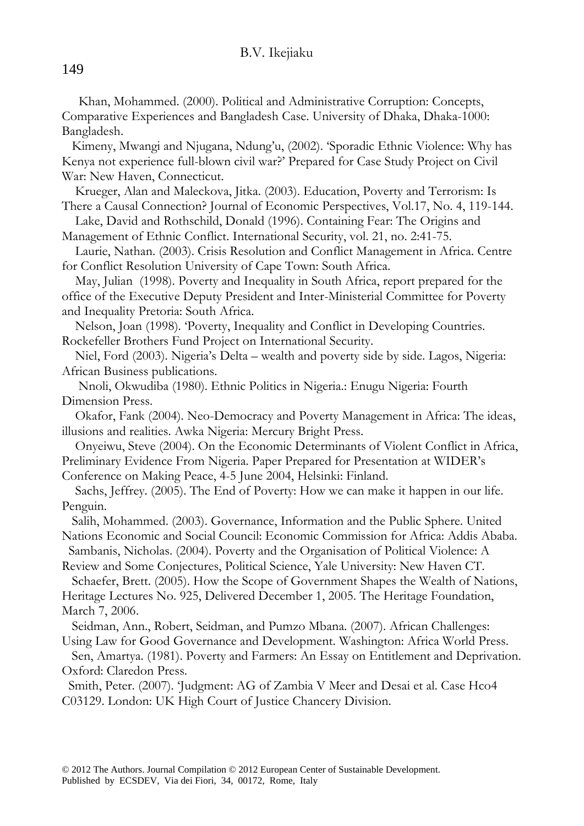#### B.V. Ikejiaku

 Khan, Mohammed. (2000). Political and Administrative Corruption: Concepts, Comparative Experiences and Bangladesh Case. University of Dhaka, Dhaka-1000: Bangladesh.

 Kimeny, Mwangi and Njugana, Ndung'u, (2002). 'Sporadic Ethnic Violence: Why has Kenya not experience full-blown civil war?' Prepared for Case Study Project on Civil War: New Haven, Connecticut.

 Krueger, Alan and Maleckova, Jitka. (2003). Education, Poverty and Terrorism: Is There a Causal Connection? Journal of Economic Perspectives, Vol.17, No. 4, 119-144.

 Lake, David and Rothschild, Donald (1996). Containing Fear: The Origins and Management of Ethnic Conflict. International Security, vol. 21, no. 2:41-75.

 Laurie, Nathan. (2003). Crisis Resolution and Conflict Management in Africa. Centre for Conflict Resolution University of Cape Town: South Africa.

 May, Julian (1998). Poverty and Inequality in South Africa, report prepared for the office of the Executive Deputy President and Inter-Ministerial Committee for Poverty and Inequality Pretoria: South Africa.

 Nelson, Joan (1998). 'Poverty, Inequality and Conflict in Developing Countries. Rockefeller Brothers Fund Project on International Security.

 Niel, Ford (2003). Nigeria's Delta – wealth and poverty side by side. Lagos, Nigeria: African Business publications.

 Nnoli, Okwudiba (1980). Ethnic Politics in Nigeria.: Enugu Nigeria: Fourth Dimension Press.

 Okafor, Fank (2004). Neo-Democracy and Poverty Management in Africa: The ideas, illusions and realities. Awka Nigeria: Mercury Bright Press.

 Onyeiwu, Steve (2004). On the Economic Determinants of Violent Conflict in Africa, Preliminary Evidence From Nigeria. Paper Prepared for Presentation at WIDER's

Conference on Making Peace, 4-5 June 2004, Helsinki: Finland.

 Sachs, Jeffrey. (2005). The End of Poverty: How we can make it happen in our life. Penguin.

 Salih, Mohammed. (2003). Governance, Information and the Public Sphere. United Nations Economic and Social Council: Economic Commission for Africa: Addis Ababa.

 Sambanis, Nicholas. (2004). Poverty and the Organisation of Political Violence: A Review and Some Conjectures, Political Science, Yale University: New Haven CT.

 Schaefer, Brett. (2005). How the Scope of Government Shapes the Wealth of Nations, Heritage Lectures No. 925, Delivered December 1, 2005. The Heritage Foundation,

March 7, 2006.

Seidman, Ann., Robert, Seidman, and Pumzo Mbana. (2007). African Challenges:

Using Law for Good Governance and Development. Washington: Africa World Press.

 Sen, Amartya. (1981). Poverty and Farmers: An Essay on Entitlement and Deprivation. Oxford: Claredon Press.

 Smith, Peter. (2007). 'Judgment: AG of Zambia V Meer and Desai et al. Case Hco4 C03129. London: UK High Court of Justice Chancery Division.